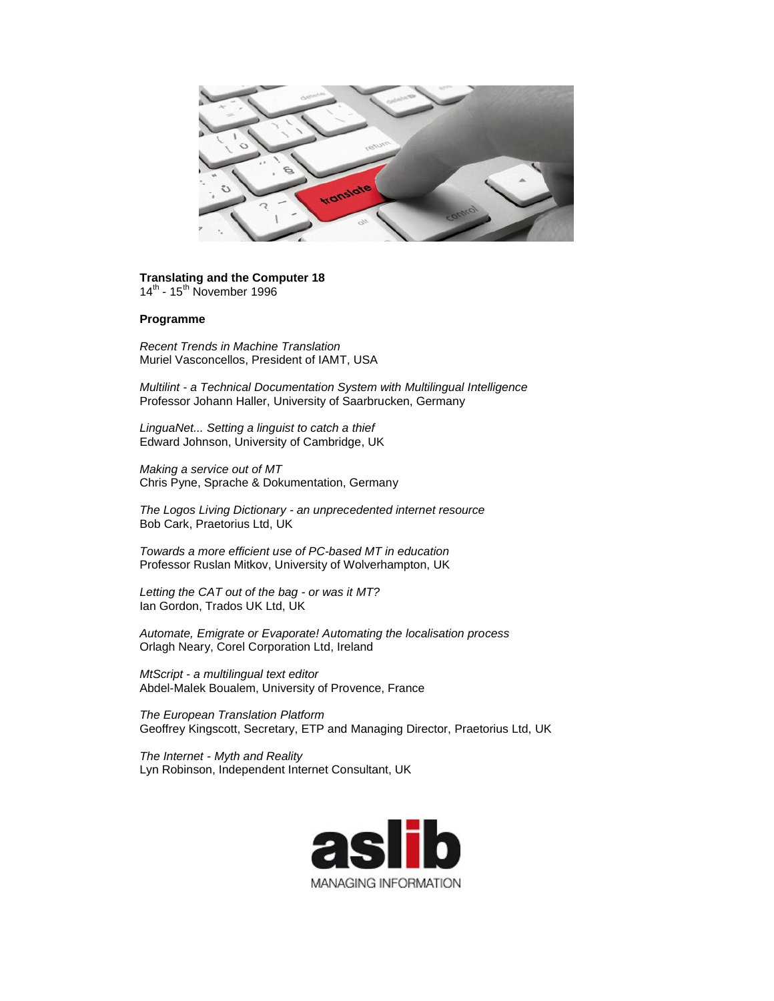

## **Translating and the Computer 18**

14<sup>th</sup> - 15<sup>th</sup> November 1996

## **Programme**

*Recent Trends in Machine Translation* Muriel Vasconcellos, President of IAMT, USA

*Multilint - a Technical Documentation System with Multilingual Intelligence* Professor Johann Haller, University of Saarbrucken, Germany

*LinguaNet... Setting a linguist to catch a thief* Edward Johnson, University of Cambridge, UK

*Making a service out of MT* Chris Pyne, Sprache & Dokumentation, Germany

*The Logos Living Dictionary - an unprecedented internet resource* Bob Cark, Praetorius Ltd, UK

*Towards a more efficient use of PC-based MT in education* Professor Ruslan Mitkov, University of Wolverhampton, UK

*Letting the CAT out of the bag - or was it MT?* Ian Gordon, Trados UK Ltd, UK

*Automate, Emigrate or Evaporate! Automating the localisation process* Orlagh Neary, Corel Corporation Ltd, Ireland

*MtScript - a multilingual text editor* Abdel-Malek Boualem, University of Provence, France

*The European Translation Platform* Geoffrey Kingscott, Secretary, ETP and Managing Director, Praetorius Ltd, UK

*The Internet - Myth and Reality* Lyn Robinson, Independent Internet Consultant, UK